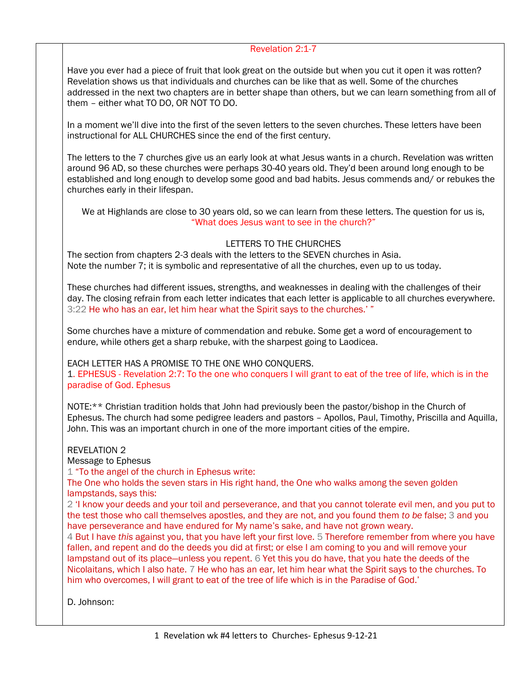## Revelation 2:1-7

Have you ever had a piece of fruit that look great on the outside but when you cut it open it was rotten? Revelation shows us that individuals and churches can be like that as well. Some of the churches addressed in the next two chapters are in better shape than others, but we can learn something from all of them – either what TO DO, OR NOT TO DO.

In a moment we'll dive into the first of the seven letters to the seven churches. These letters have been instructional for ALL CHURCHES since the end of the first century.

The letters to the 7 churches give us an early look at what Jesus wants in a church. Revelation was written around 96 AD, so these churches were perhaps 30-40 years old. They'd been around long enough to be established and long enough to develop some good and bad habits. Jesus commends and/ or rebukes the churches early in their lifespan.

We at Highlands are close to 30 years old, so we can learn from these letters. The question for us is, "What does Jesus want to see in the church?"

## LETTERS TO THE CHURCHES

The section from chapters 2-3 deals with the letters to the SEVEN churches in Asia. Note the number 7; it is symbolic and representative of all the churches, even up to us today.

These churches had different issues, strengths, and weaknesses in dealing with the challenges of their day. The closing refrain from each letter indicates that each letter is applicable to all churches everywhere. 3:22 He who has an ear, let him hear what the Spirit says to the churches.' "

Some churches have a mixture of commendation and rebuke. Some get a word of encouragement to endure, while others get a sharp rebuke, with the sharpest going to Laodicea.

EACH LETTER HAS A PROMISE TO THE ONE WHO CONQUERS. 1. EPHESUS - Revelation 2:7: To the one who conquers I will grant to eat of the tree of life, which is in the paradise of God. Ephesus

NOTE:\*\* Christian tradition holds that John had previously been the pastor/bishop in the Church of Ephesus. The church had some pedigree leaders and pastors – Apollos, Paul, Timothy, Priscilla and Aquilla, John. This was an important church in one of the more important cities of the empire.

REVELATION 2

Message to Ephesus

1 "To the angel of the church in Ephesus write:

The One who holds the seven stars in His right hand, the One who walks among the seven golden lampstands, says this:

2 'I know your deeds and your toil and perseverance, and that you cannot tolerate evil men, and you put to the test those who call themselves apostles, and they are not, and you found them *to be* false; 3 and you have perseverance and have endured for My name's sake, and have not grown weary.

4 But I have *this* against you, that you have left your first love. 5 Therefore remember from where you have fallen, and repent and do the deeds you did at first; or else I am coming to you and will remove your lampstand out of its place—unless you repent. 6 Yet this you do have, that you hate the deeds of the Nicolaitans, which I also hate. 7 He who has an ear, let him hear what the Spirit says to the churches. To him who overcomes, I will grant to eat of the tree of life which is in the Paradise of God.'

D. Johnson: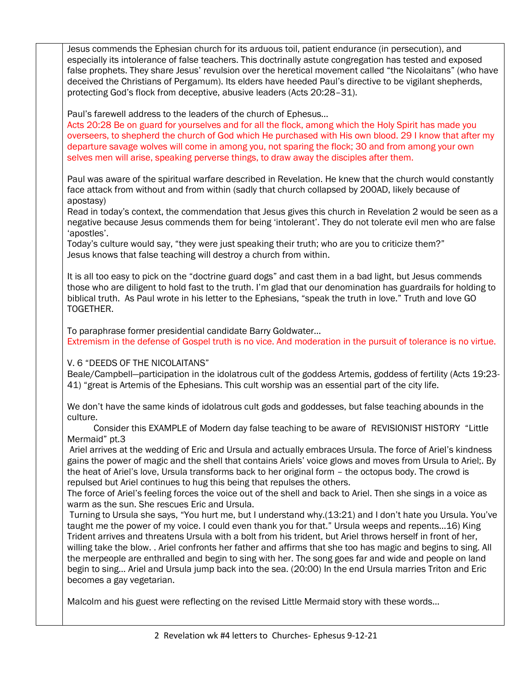Jesus commends the Ephesian church for its arduous toil, patient endurance (in persecution), and especially its intolerance of false teachers. This doctrinally astute congregation has tested and exposed false prophets. They share Jesus' revulsion over the heretical movement called "the Nicolaitans" (who have deceived the Christians of Pergamum). Its elders have heeded Paul's directive to be vigilant shepherds, protecting God's flock from deceptive, abusive leaders (Acts 20:28–31). Paul's farewell address to the leaders of the church of Ephesus… Acts 20:28 Be on guard for yourselves and for all the flock, among which the Holy Spirit has made you overseers, to shepherd the church of God which He purchased with His own blood. 29 I know that after my departure savage wolves will come in among you, not sparing the flock; 30 and from among your own selves men will arise, speaking perverse things, to draw away the disciples after them. Paul was aware of the spiritual warfare described in Revelation. He knew that the church would constantly face attack from without and from within (sadly that church collapsed by 200AD, likely because of apostasy) Read in today's context, the commendation that Jesus gives this church in Revelation 2 would be seen as a negative because Jesus commends them for being 'intolerant'. They do not tolerate evil men who are false 'apostles'. Today's culture would say, "they were just speaking their truth; who are you to criticize them?" Jesus knows that false teaching will destroy a church from within. It is all too easy to pick on the "doctrine guard dogs" and cast them in a bad light, but Jesus commends those who are diligent to hold fast to the truth. I'm glad that our denomination has guardrails for holding to biblical truth. As Paul wrote in his letter to the Ephesians, "speak the truth in love." Truth and love GO TOGETHER.

To paraphrase former presidential candidate Barry Goldwater… Extremism in the defense of Gospel truth is no vice. And moderation in the pursuit of tolerance is no virtue.

V. 6 "DEEDS OF THE NICOLAITANS"

Beale/Campbell—participation in the idolatrous cult of the goddess Artemis, goddess of fertility (Acts 19:23- 41) "great is Artemis of the Ephesians. This cult worship was an essential part of the city life.

We don't have the same kinds of idolatrous cult gods and goddesses, but false teaching abounds in the culture.

 Consider this EXAMPLE of Modern day false teaching to be aware of REVISIONIST HISTORY "Little Mermaid" pt.3

Ariel arrives at the wedding of Eric and Ursula and actually embraces Ursula. The force of Ariel's kindness gains the power of magic and the shell that contains Ariels' voice glows and moves from Ursula to Ariel;. By the heat of Ariel's love, Ursula transforms back to her original form – the octopus body. The crowd is repulsed but Ariel continues to hug this being that repulses the others.

The force of Ariel's feeling forces the voice out of the shell and back to Ariel. Then she sings in a voice as warm as the sun. She rescues Eric and Ursula.

Turning to Ursula she says, "You hurt me, but I understand why.(13:21) and I don't hate you Ursula. You've taught me the power of my voice. I could even thank you for that." Ursula weeps and repents…16) King Trident arrives and threatens Ursula with a bolt from his trident, but Ariel throws herself in front of her, willing take the blow. . Ariel confronts her father and affirms that she too has magic and begins to sing. All the merpeople are enthralled and begin to sing with her. The song goes far and wide and people on land begin to sing… Ariel and Ursula jump back into the sea. (20:00) In the end Ursula marries Triton and Eric becomes a gay vegetarian.

Malcolm and his guest were reflecting on the revised Little Mermaid story with these words…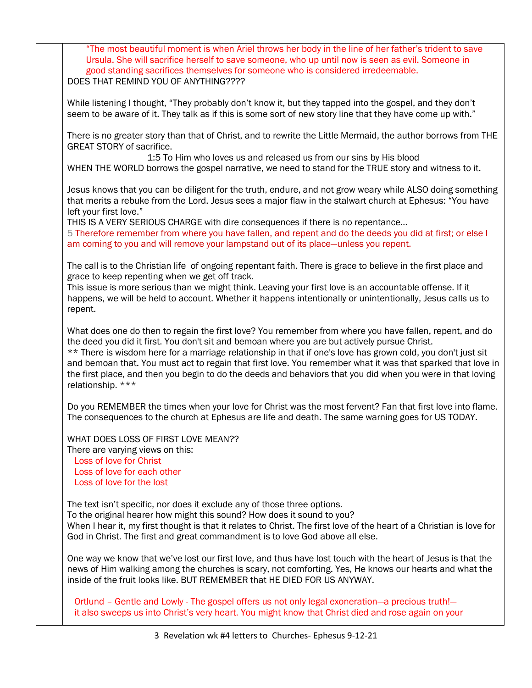"The most beautiful moment is when Ariel throws her body in the line of her father's trident to save Ursula. She will sacrifice herself to save someone, who up until now is seen as evil. Someone in good standing sacrifices themselves for someone who is considered irredeemable. DOES THAT REMIND YOU OF ANYTHING???? While listening I thought, "They probably don't know it, but they tapped into the gospel, and they don't seem to be aware of it. They talk as if this is some sort of new story line that they have come up with." There is no greater story than that of Christ, and to rewrite the Little Mermaid, the author borrows from THE GREAT STORY of sacrifice. 1:5 To Him who loves us and released us from our sins by His blood WHEN THE WORLD borrows the gospel narrative, we need to stand for the TRUE story and witness to it. Jesus knows that you can be diligent for the truth, endure, and not grow weary while ALSO doing something that merits a rebuke from the Lord. Jesus sees a major flaw in the stalwart church at Ephesus: "You have left your first love." THIS IS A VERY SERIOUS CHARGE with dire consequences if there is no repentance… 5 Therefore remember from where you have fallen, and repent and do the deeds you did at first; or else I am coming to you and will remove your lampstand out of its place—unless you repent. The call is to the Christian life of ongoing repentant faith. There is grace to believe in the first place and grace to keep repenting when we get off track. This issue is more serious than we might think. Leaving your first love is an accountable offense. If it happens, we will be held to account. Whether it happens intentionally or unintentionally, Jesus calls us to repent. What does one do then to regain the first love? You remember from where you have fallen, repent, and do the deed you did it first. You don't sit and bemoan where you are but actively pursue Christ. \*\* There is wisdom here for a marriage relationship in that if one's love has grown cold, you don't just sit and bemoan that. You must act to regain that first love. You remember what it was that sparked that love in the first place, and then you begin to do the deeds and behaviors that you did when you were in that loving relationship. \*\*\* Do you REMEMBER the times when your love for Christ was the most fervent? Fan that first love into flame. The consequences to the church at Ephesus are life and death. The same warning goes for US TODAY. WHAT DOES LOSS OF FIRST LOVE MEAN?? There are varying views on this: Loss of love for Christ Loss of love for each other Loss of love for the lost The text isn't specific, nor does it exclude any of those three options. To the original hearer how might this sound? How does it sound to you? When I hear it, my first thought is that it relates to Christ. The first love of the heart of a Christian is love for God in Christ. The first and great commandment is to love God above all else. One way we know that we've lost our first love, and thus have lost touch with the heart of Jesus is that the news of Him walking among the churches is scary, not comforting. Yes, He knows our hearts and what the inside of the fruit looks like. BUT REMEMBER that HE DIED FOR US ANYWAY. Ortlund – Gentle and Lowly - The gospel offers us not only legal exoneration—a precious truth!—

it also sweeps us into Christ's very heart. You might know that Christ died and rose again on your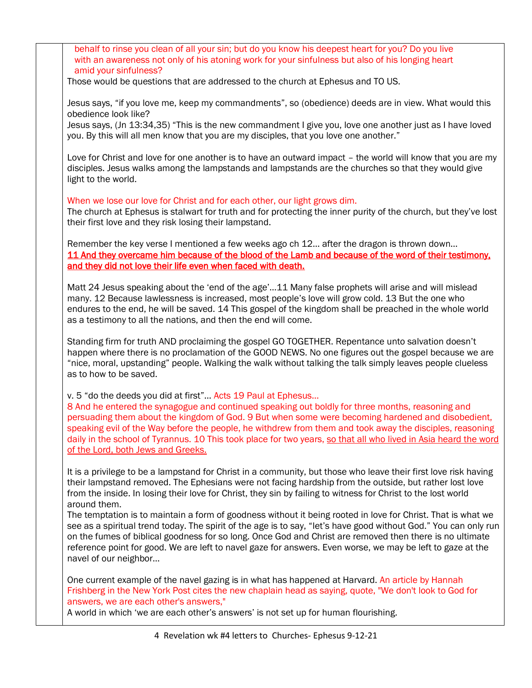behalf to rinse you clean of all your sin; but do you know his deepest heart for you? Do you live with an awareness not only of his atoning work for your sinfulness but also of his longing heart amid your sinfulness?

Those would be questions that are addressed to the church at Ephesus and TO US.

Jesus says, "if you love me, keep my commandments", so (obedience) deeds are in view. What would this obedience look like?

Jesus says, (Jn 13:34,35) "This is the new commandment I give you, love one another just as I have loved you. By this will all men know that you are my disciples, that you love one another."

Love for Christ and love for one another is to have an outward impact – the world will know that you are my disciples. Jesus walks among the lampstands and lampstands are the churches so that they would give light to the world.

When we lose our love for Christ and for each other, our light grows dim.

The church at Ephesus is stalwart for truth and for protecting the inner purity of the church, but they've lost their first love and they risk losing their lampstand.

Remember the key verse I mentioned a few weeks ago ch 12… after the dragon is thrown down… 11 And they overcame him because of the blood of the Lamb and because of the word of their testimony, and they did not love their life even when faced with death.

Matt 24 Jesus speaking about the 'end of the age'…11 Many false prophets will arise and will mislead many. 12 Because lawlessness is increased, most people's love will grow cold. 13 But the one who endures to the end, he will be saved. 14 This gospel of the kingdom shall be preached in the whole world as a testimony to all the nations, and then the end will come.

Standing firm for truth AND proclaiming the gospel GO TOGETHER. Repentance unto salvation doesn't happen where there is no proclamation of the GOOD NEWS. No one figures out the gospel because we are "nice, moral, upstanding" people. Walking the walk without talking the talk simply leaves people clueless as to how to be saved.

v. 5 "do the deeds you did at first"… Acts 19 Paul at Ephesus…

8 And he entered the synagogue and continued speaking out boldly for three months, reasoning and persuading them about the kingdom of God. 9 But when some were becoming hardened and disobedient, speaking evil of the Way before the people, he withdrew from them and took away the disciples, reasoning daily in the school of Tyrannus. 10 This took place for two years, so that all who lived in Asia heard the word of the Lord, both Jews and Greeks.

It is a privilege to be a lampstand for Christ in a community, but those who leave their first love risk having their lampstand removed. The Ephesians were not facing hardship from the outside, but rather lost love from the inside. In losing their love for Christ, they sin by failing to witness for Christ to the lost world around them.

The temptation is to maintain a form of goodness without it being rooted in love for Christ. That is what we see as a spiritual trend today. The spirit of the age is to say, "let's have good without God." You can only run on the fumes of biblical goodness for so long. Once God and Christ are removed then there is no ultimate reference point for good. We are left to navel gaze for answers. Even worse, we may be left to gaze at the navel of our neighbor…

One current example of the navel gazing is in what has happened at Harvard. An article by Hannah Frishberg in the New York Post cites the new chaplain head as saying, quote, "We don't look to God for answers, we are each other's answers,"

A world in which 'we are each other's answers' is not set up for human flourishing.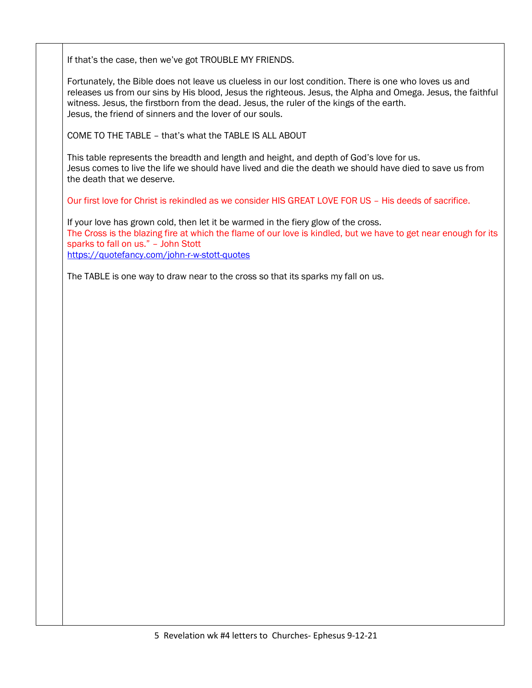If that's the case, then we've got TROUBLE MY FRIENDS.

Fortunately, the Bible does not leave us clueless in our lost condition. There is one who loves us and releases us from our sins by His blood, Jesus the righteous. Jesus, the Alpha and Omega. Jesus, the faithful witness. Jesus, the firstborn from the dead. Jesus, the ruler of the kings of the earth. Jesus, the friend of sinners and the lover of our souls.

COME TO THE TABLE – that's what the TABLE IS ALL ABOUT

This table represents the breadth and length and height, and depth of God's love for us. Jesus comes to live the life we should have lived and die the death we should have died to save us from the death that we deserve.

Our first love for Christ is rekindled as we consider HIS GREAT LOVE FOR US – His deeds of sacrifice.

If your love has grown cold, then let it be warmed in the fiery glow of the cross. The Cross is the blazing fire at which the flame of our love is kindled, but we have to get near enough for its sparks to fall on us." – John Stott <https://quotefancy.com/john-r-w-stott-quotes>

The TABLE is one way to draw near to the cross so that its sparks my fall on us.